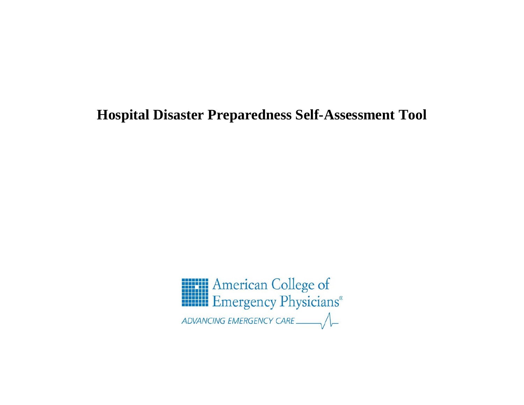# **Hospital Disaster Preparedness Self-Assessment Tool**

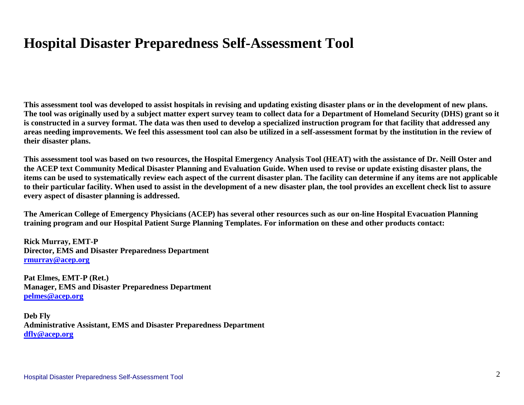# **Hospital Disaster Preparedness Self-Assessment Tool**

**This assessment tool was developed to assist hospitals in revising and updating existing disaster plans or in the development of new plans. The tool was originally used by a subject matter expert survey team to collect data for a Department of Homeland Security (DHS) grant so it is constructed in a survey format. The data was then used to develop a specialized instruction program for that facility that addressed any areas needing improvements. We feel this assessment tool can also be utilized in a self-assessment format by the institution in the review of their disaster plans.**

**This assessment tool was based on two resources, the Hospital Emergency Analysis Tool (HEAT) with the assistance of Dr. Neill Oster and the ACEP text Community Medical Disaster Planning and Evaluation Guide. When used to revise or update existing disaster plans, the items can be used to systematically review each aspect of the current disaster plan. The facility can determine if any items are not applicable to their particular facility. When used to assist in the development of a new disaster plan, the tool provides an excellent check list to assure every aspect of disaster planning is addressed.**

**The American College of Emergency Physicians (ACEP) has several other resources such as our on-line Hospital Evacuation Planning training program and our Hospital Patient Surge Planning Templates. For information on these and other products contact:**

**Rick Murray, EMT-P Director, EMS and Disaster Preparedness Department [rmurray@acep.org](mailto:rmurray@acep.org)**

**Pat Elmes, EMT-P (Ret.) Manager, EMS and Disaster Preparedness Department [pelmes@acep.org](mailto:pelmes@acep.org)**

**Deb Fly Administrative Assistant, EMS and Disaster Preparedness Department [dfly@acep.org](mailto:dfly@acep.org)**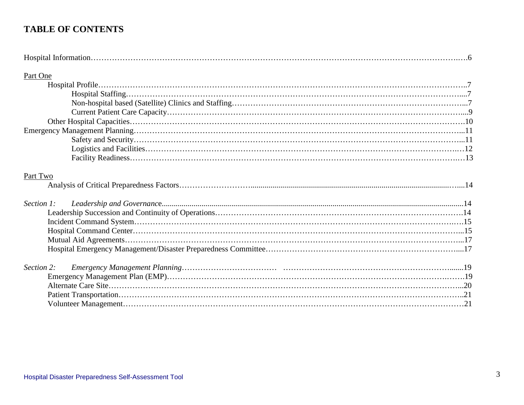#### **TABLE OF CONTENTS**

| Part One   |  |
|------------|--|
|            |  |
|            |  |
|            |  |
|            |  |
|            |  |
|            |  |
|            |  |
|            |  |
|            |  |
| Part Two   |  |
| Section 1: |  |
|            |  |
|            |  |
|            |  |
|            |  |
|            |  |
|            |  |
| Section 2: |  |
|            |  |
|            |  |
|            |  |
|            |  |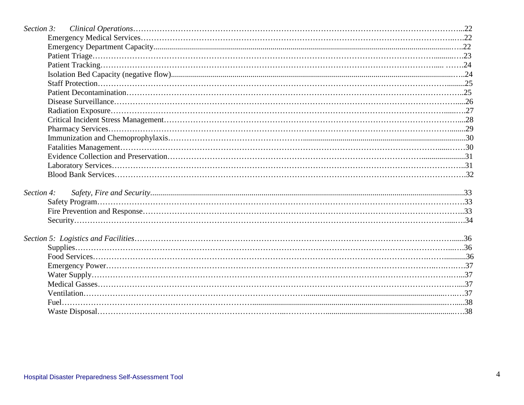| Section 4: |  |
|------------|--|
|            |  |
|            |  |
|            |  |
|            |  |
|            |  |
|            |  |
|            |  |
|            |  |
|            |  |
|            |  |
|            |  |
|            |  |
|            |  |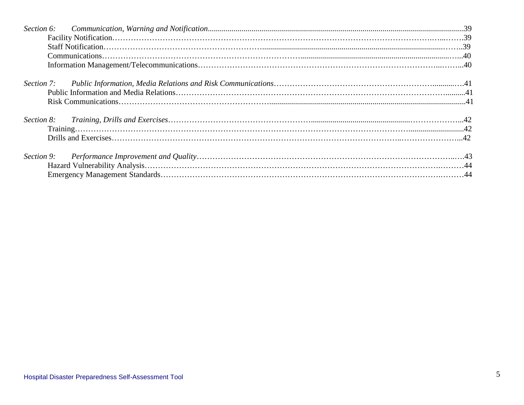| Section 8: |  |
|------------|--|
|            |  |
|            |  |
| Section 9: |  |
|            |  |
|            |  |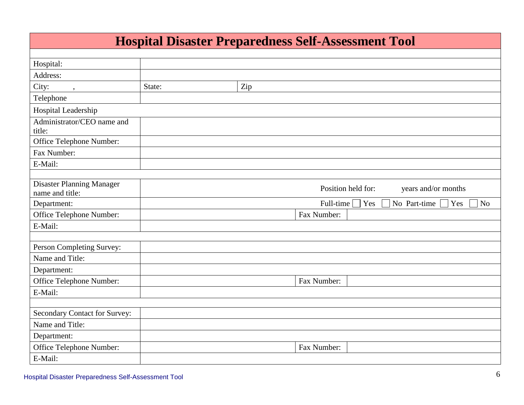| <b>Hospital Disaster Preparedness Self-Assessment Tool</b> |        |     |                                           |                |
|------------------------------------------------------------|--------|-----|-------------------------------------------|----------------|
|                                                            |        |     |                                           |                |
| Hospital:                                                  |        |     |                                           |                |
| Address:                                                   |        |     |                                           |                |
| City:<br>$, \,$                                            | State: | Zip |                                           |                |
| Telephone                                                  |        |     |                                           |                |
| Hospital Leadership                                        |        |     |                                           |                |
| Administrator/CEO name and<br>title:                       |        |     |                                           |                |
| Office Telephone Number:                                   |        |     |                                           |                |
| Fax Number:                                                |        |     |                                           |                |
| E-Mail:                                                    |        |     |                                           |                |
|                                                            |        |     |                                           |                |
| <b>Disaster Planning Manager</b><br>name and title:        |        |     | Position held for:<br>years and/or months |                |
| Department:                                                |        |     | Full-time<br>No Part-time<br>Yes<br>Yes   | N <sub>o</sub> |
| Office Telephone Number:                                   |        |     | Fax Number:                               |                |
| E-Mail:                                                    |        |     |                                           |                |
|                                                            |        |     |                                           |                |
| Person Completing Survey:                                  |        |     |                                           |                |
| Name and Title:                                            |        |     |                                           |                |
| Department:                                                |        |     |                                           |                |
| Office Telephone Number:                                   |        |     | Fax Number:                               |                |
| E-Mail:                                                    |        |     |                                           |                |
|                                                            |        |     |                                           |                |
| Secondary Contact for Survey:                              |        |     |                                           |                |
| Name and Title:                                            |        |     |                                           |                |
| Department:                                                |        |     |                                           |                |
| Office Telephone Number:                                   |        |     | Fax Number:                               |                |
| E-Mail:                                                    |        |     |                                           |                |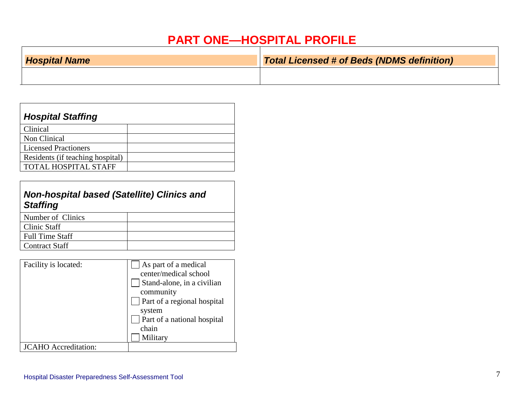## **PART ONE—HOSPITAL PROFILE**

| <b>Hospital Name</b> | Total Licensed # of Beds (NDMS definition) |
|----------------------|--------------------------------------------|
|                      |                                            |

| <b>Hospital Staffing</b>         |  |
|----------------------------------|--|
| Clinical                         |  |
| Non Clinical                     |  |
| <b>Licensed Practioners</b>      |  |
| Residents (if teaching hospital) |  |
| TOTAL HOSPITAL STAFF             |  |

### *Non-hospital based (Satellite) Clinics and Staffing*

| Number of Clinics      |  |
|------------------------|--|
| Clinic Staff           |  |
| <b>Full Time Staff</b> |  |
| <b>Contract Staff</b>  |  |
|                        |  |

| Facility is located:        | As part of a medical<br>center/medical school<br>Stand-alone, in a civilian<br>community<br>Part of a regional hospital |
|-----------------------------|-------------------------------------------------------------------------------------------------------------------------|
|                             | system<br>Part of a national hospital<br>chain<br>Military                                                              |
| <b>JCAHO</b> Accreditation: |                                                                                                                         |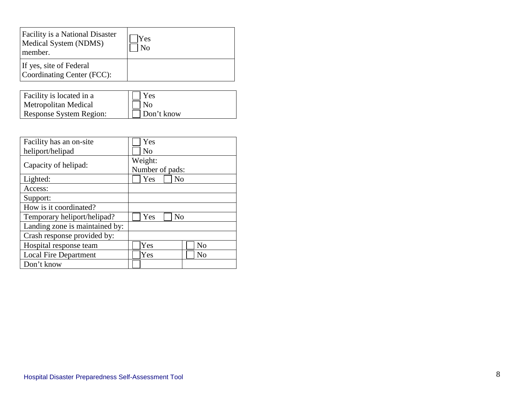| Facility is a National Disaster<br>Medical System (NDMS)<br>member. | Yes<br>$\rm No$ |
|---------------------------------------------------------------------|-----------------|
| If yes, site of Federal<br>Coordinating Center (FCC):               |                 |

| Facility is located in a | Yes        |
|--------------------------|------------|
| Metropolitan Medical     | l No       |
| Response System Region:  | Don't know |

| Facility has an on-site        | Yes                        |
|--------------------------------|----------------------------|
| heliport/helipad               | N <sub>0</sub>             |
| Capacity of helipad:           | Weight:<br>Number of pads: |
| Lighted:                       | Yes<br>No                  |
| Access:                        |                            |
| Support:                       |                            |
| How is it coordinated?         |                            |
| Temporary heliport/helipad?    | Yes<br>N <sub>0</sub>      |
| Landing zone is maintained by: |                            |
| Crash response provided by:    |                            |
| Hospital response team         | Yes<br>N <sub>o</sub>      |
| <b>Local Fire Department</b>   | Yes<br>No                  |
| Don't know                     |                            |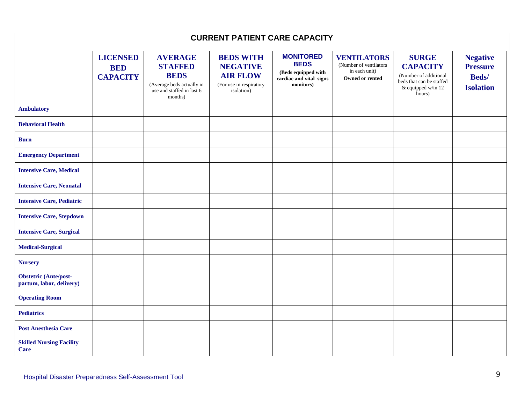| <b>CURRENT PATIENT CARE CAPACITY</b>                     |                                                  |                                                                                                                      |                                                                                                 |                                                                                                |                                                                                   |                                                                                                                      |                                                                         |
|----------------------------------------------------------|--------------------------------------------------|----------------------------------------------------------------------------------------------------------------------|-------------------------------------------------------------------------------------------------|------------------------------------------------------------------------------------------------|-----------------------------------------------------------------------------------|----------------------------------------------------------------------------------------------------------------------|-------------------------------------------------------------------------|
|                                                          | <b>LICENSED</b><br><b>BED</b><br><b>CAPACITY</b> | <b>AVERAGE</b><br><b>STAFFED</b><br><b>BEDS</b><br>(Average beds actually in<br>use and staffed in last 6<br>months) | <b>BEDS WITH</b><br><b>NEGATIVE</b><br><b>AIR FLOW</b><br>(For use in respiratory<br>isolation) | <b>MONITORED</b><br><b>BEDS</b><br>(Beds equipped with<br>cardiac and vital signs<br>monitors) | <b>VENTILATORS</b><br>(Number of ventilators)<br>in each unit)<br>Owned or rented | <b>SURGE</b><br><b>CAPACITY</b><br>(Number of additional<br>beds that can be staffed<br>& equipped w/in 12<br>hours) | <b>Negative</b><br><b>Pressure</b><br><b>Beds</b> /<br><b>Isolation</b> |
| <b>Ambulatory</b>                                        |                                                  |                                                                                                                      |                                                                                                 |                                                                                                |                                                                                   |                                                                                                                      |                                                                         |
| <b>Behavioral Health</b>                                 |                                                  |                                                                                                                      |                                                                                                 |                                                                                                |                                                                                   |                                                                                                                      |                                                                         |
| <b>Burn</b>                                              |                                                  |                                                                                                                      |                                                                                                 |                                                                                                |                                                                                   |                                                                                                                      |                                                                         |
| <b>Emergency Department</b>                              |                                                  |                                                                                                                      |                                                                                                 |                                                                                                |                                                                                   |                                                                                                                      |                                                                         |
| <b>Intensive Care, Medical</b>                           |                                                  |                                                                                                                      |                                                                                                 |                                                                                                |                                                                                   |                                                                                                                      |                                                                         |
| <b>Intensive Care, Neonatal</b>                          |                                                  |                                                                                                                      |                                                                                                 |                                                                                                |                                                                                   |                                                                                                                      |                                                                         |
| <b>Intensive Care, Pediatric</b>                         |                                                  |                                                                                                                      |                                                                                                 |                                                                                                |                                                                                   |                                                                                                                      |                                                                         |
| <b>Intensive Care, Stepdown</b>                          |                                                  |                                                                                                                      |                                                                                                 |                                                                                                |                                                                                   |                                                                                                                      |                                                                         |
| <b>Intensive Care, Surgical</b>                          |                                                  |                                                                                                                      |                                                                                                 |                                                                                                |                                                                                   |                                                                                                                      |                                                                         |
| <b>Medical-Surgical</b>                                  |                                                  |                                                                                                                      |                                                                                                 |                                                                                                |                                                                                   |                                                                                                                      |                                                                         |
| <b>Nursery</b>                                           |                                                  |                                                                                                                      |                                                                                                 |                                                                                                |                                                                                   |                                                                                                                      |                                                                         |
| <b>Obstetric (Ante/post-</b><br>partum, labor, delivery) |                                                  |                                                                                                                      |                                                                                                 |                                                                                                |                                                                                   |                                                                                                                      |                                                                         |
| <b>Operating Room</b>                                    |                                                  |                                                                                                                      |                                                                                                 |                                                                                                |                                                                                   |                                                                                                                      |                                                                         |
| <b>Pediatrics</b>                                        |                                                  |                                                                                                                      |                                                                                                 |                                                                                                |                                                                                   |                                                                                                                      |                                                                         |
| <b>Post Anesthesia Care</b>                              |                                                  |                                                                                                                      |                                                                                                 |                                                                                                |                                                                                   |                                                                                                                      |                                                                         |
| <b>Skilled Nursing Facility</b><br>Care                  |                                                  |                                                                                                                      |                                                                                                 |                                                                                                |                                                                                   |                                                                                                                      |                                                                         |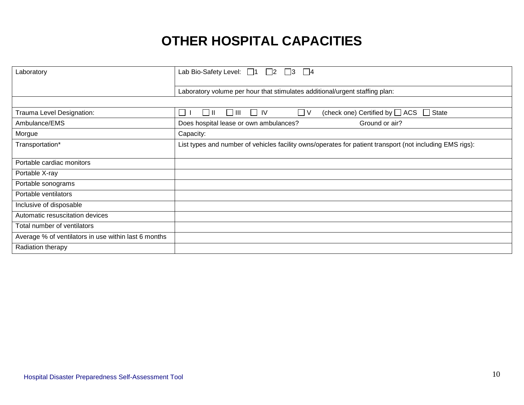# **OTHER HOSPITAL CAPACITIES**

| Laboratory                                           | Lab Bio-Safety Level: $\Box$ 1 $\Box$ 2 $\Box$ 3<br>$\vert$ $\vert$ 4                                    |
|------------------------------------------------------|----------------------------------------------------------------------------------------------------------|
|                                                      | Laboratory volume per hour that stimulates additional/urgent staffing plan:                              |
|                                                      |                                                                                                          |
| Trauma Level Designation:                            | (check one) Certified by $\Box$ ACS<br>  III<br>$\Box$ V<br>State<br>IV<br>$\sim$<br>$\Box$              |
| Ambulance/EMS                                        | Ground or air?<br>Does hospital lease or own ambulances?                                                 |
| Morgue                                               | Capacity:                                                                                                |
| Transportation*                                      | List types and number of vehicles facility owns/operates for patient transport (not including EMS rigs): |
| Portable cardiac monitors                            |                                                                                                          |
| Portable X-ray                                       |                                                                                                          |
| Portable sonograms                                   |                                                                                                          |
| Portable ventilators                                 |                                                                                                          |
| Inclusive of disposable                              |                                                                                                          |
| Automatic resuscitation devices                      |                                                                                                          |
| Total number of ventilators                          |                                                                                                          |
| Average % of ventilators in use within last 6 months |                                                                                                          |
| Radiation therapy                                    |                                                                                                          |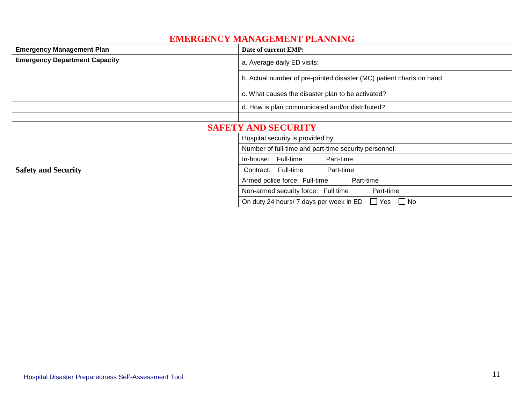| <b>EMERGENCY MANAGEMENT PLANNING</b>                     |                                                                       |  |  |  |
|----------------------------------------------------------|-----------------------------------------------------------------------|--|--|--|
| <b>Emergency Management Plan</b><br>Date of current EMP: |                                                                       |  |  |  |
| <b>Emergency Department Capacity</b>                     | a. Average daily ED visits:                                           |  |  |  |
|                                                          | b. Actual number of pre-printed disaster (MC) patient charts on hand: |  |  |  |
|                                                          | c. What causes the disaster plan to be activated?                     |  |  |  |
| d. How is plan communicated and/or distributed?          |                                                                       |  |  |  |
|                                                          |                                                                       |  |  |  |
|                                                          | <b>SAFETY AND SECURITY</b>                                            |  |  |  |
|                                                          | Hospital security is provided by:                                     |  |  |  |
|                                                          | Number of full-time and part-time security personnel:                 |  |  |  |
|                                                          | Full-time<br>Part-time<br>In-house:                                   |  |  |  |
| <b>Safety and Security</b>                               | Contract: Full-time<br>Part-time                                      |  |  |  |
|                                                          | Armed police force: Full-time<br>Part-time                            |  |  |  |
|                                                          | Non-armed security force: Full time<br>Part-time                      |  |  |  |
|                                                          | $\Box$ Yes<br>On duty 24 hours/ 7 days per week in ED<br>$\Box$ No    |  |  |  |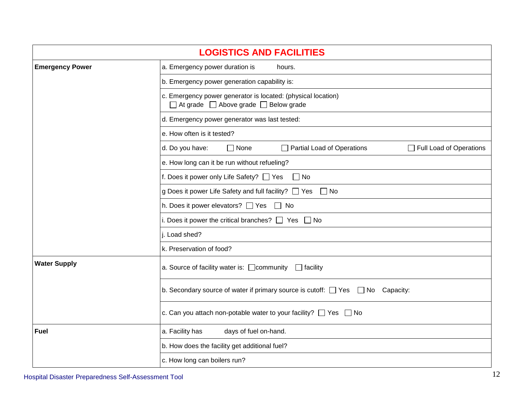| <b>LOGISTICS AND FACILITIES</b>                                            |                                                                                                        |  |  |  |  |  |
|----------------------------------------------------------------------------|--------------------------------------------------------------------------------------------------------|--|--|--|--|--|
| <b>Emergency Power</b>                                                     | a. Emergency power duration is<br>hours.                                                               |  |  |  |  |  |
|                                                                            | b. Emergency power generation capability is:                                                           |  |  |  |  |  |
|                                                                            | c. Emergency power generator is located: (physical location)<br>□ At grade □ Above grade □ Below grade |  |  |  |  |  |
|                                                                            | d. Emergency power generator was last tested:                                                          |  |  |  |  |  |
|                                                                            | e. How often is it tested?                                                                             |  |  |  |  |  |
|                                                                            | d. Do you have:<br>$\Box$ Partial Load of Operations<br>$\Box$ None<br>$\Box$ Full Load of Operations  |  |  |  |  |  |
|                                                                            | e. How long can it be run without refueling?                                                           |  |  |  |  |  |
|                                                                            | f. Does it power only Life Safety? $\Box$ Yes<br>$\Box$ No                                             |  |  |  |  |  |
|                                                                            | g Does it power Life Safety and full facility? □ Yes □ No                                              |  |  |  |  |  |
|                                                                            | h. Does it power elevators? □ Yes □ No                                                                 |  |  |  |  |  |
|                                                                            | i. Does it power the critical branches? $\Box$ Yes $\Box$ No                                           |  |  |  |  |  |
|                                                                            | i. Load shed?                                                                                          |  |  |  |  |  |
|                                                                            | k. Preservation of food?                                                                               |  |  |  |  |  |
| <b>Water Supply</b>                                                        | a. Source of facility water is: $\Box$ community $\Box$ facility                                       |  |  |  |  |  |
|                                                                            | b. Secondary source of water if primary source is cutoff: $\Box$ Yes $\Box$ No Capacity:               |  |  |  |  |  |
| c. Can you attach non-potable water to your facility? $\Box$ Yes $\Box$ No |                                                                                                        |  |  |  |  |  |
| <b>Fuel</b>                                                                | a. Facility has<br>days of fuel on-hand.                                                               |  |  |  |  |  |
|                                                                            | b. How does the facility get additional fuel?                                                          |  |  |  |  |  |
|                                                                            | c. How long can boilers run?                                                                           |  |  |  |  |  |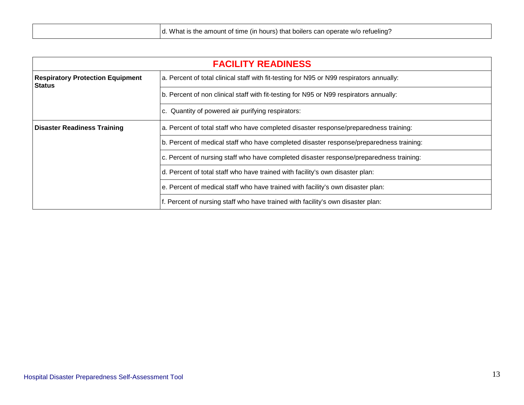| <b>FACILITY READINESS</b>                                                       |                                                                                          |  |  |  |
|---------------------------------------------------------------------------------|------------------------------------------------------------------------------------------|--|--|--|
| <b>Respiratory Protection Equipment</b><br><b>Status</b>                        | a. Percent of total clinical staff with fit-testing for N95 or N99 respirators annually: |  |  |  |
|                                                                                 | b. Percent of non clinical staff with fit-testing for N95 or N99 respirators annually:   |  |  |  |
| c. Quantity of powered air purifying respirators:                               |                                                                                          |  |  |  |
| <b>Disaster Readiness Training</b>                                              | a. Percent of total staff who have completed disaster response/preparedness training:    |  |  |  |
|                                                                                 | b. Percent of medical staff who have completed disaster response/preparedness training:  |  |  |  |
|                                                                                 | c. Percent of nursing staff who have completed disaster response/preparedness training:  |  |  |  |
|                                                                                 | d. Percent of total staff who have trained with facility's own disaster plan:            |  |  |  |
|                                                                                 | e. Percent of medical staff who have trained with facility's own disaster plan:          |  |  |  |
| f. Percent of nursing staff who have trained with facility's own disaster plan: |                                                                                          |  |  |  |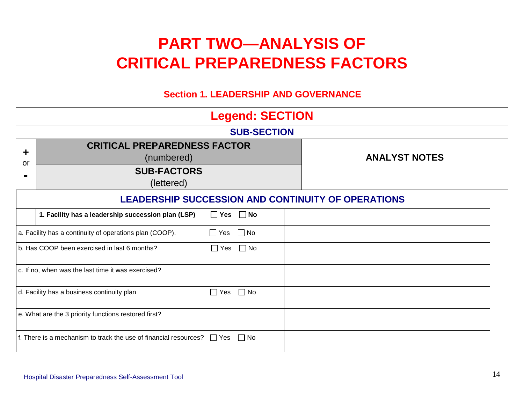# **PART TWO—ANALYSIS OF CRITICAL PREPAREDNESS FACTORS**

#### **Section 1. LEADERSHIP AND GOVERNANCE**

|         | <b>Legend: SECTION</b>                                                                |            |           |  |                                                           |  |
|---------|---------------------------------------------------------------------------------------|------------|-----------|--|-----------------------------------------------------------|--|
|         | <b>SUB-SECTION</b>                                                                    |            |           |  |                                                           |  |
| ╈<br>or | <b>CRITICAL PREPAREDNESS FACTOR</b><br>(numbered)<br><b>SUB-FACTORS</b><br>(lettered) |            |           |  | <b>ANALYST NOTES</b>                                      |  |
|         |                                                                                       |            |           |  | <b>LEADERSHIP SUCCESSION AND CONTINUITY OF OPERATIONS</b> |  |
|         | 1. Facility has a leadership succession plan (LSP)                                    | $\Box$ Yes | $\Box$ No |  |                                                           |  |
|         | a. Facility has a continuity of operations plan (COOP).                               | $\Box$ Yes | $\Box$ No |  |                                                           |  |
|         | b. Has COOP been exercised in last 6 months?                                          | $\Box$ Yes | $\Box$ No |  |                                                           |  |
|         | c. If no, when was the last time it was exercised?                                    |            |           |  |                                                           |  |
|         | d. Facility has a business continuity plan                                            | $\Box$ Yes | ∣ ∣No     |  |                                                           |  |
|         | e. What are the 3 priority functions restored first?                                  |            |           |  |                                                           |  |
|         | f. There is a mechanism to track the use of financial resources? $\Box$ Yes           |            | $\Box$ No |  |                                                           |  |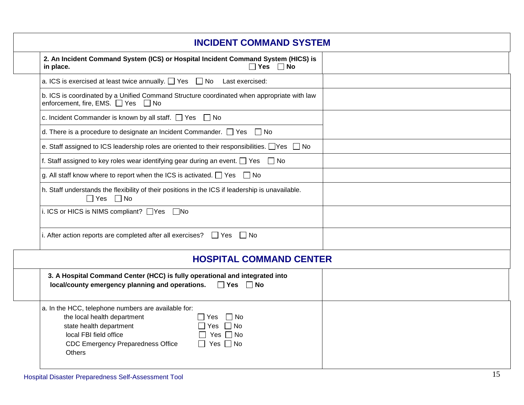| <b>INCIDENT COMMAND SYSTEM</b>                                                                                                                                                                                                                                                         |  |
|----------------------------------------------------------------------------------------------------------------------------------------------------------------------------------------------------------------------------------------------------------------------------------------|--|
| 2. An Incident Command System (ICS) or Hospital Incident Command System (HICS) is<br>Yes $\Box$ No<br>in place.                                                                                                                                                                        |  |
| a. ICS is exercised at least twice annually. $\Box$ Yes $\Box$ No Last exercised:                                                                                                                                                                                                      |  |
| b. ICS is coordinated by a Unified Command Structure coordinated when appropriate with law<br>enforcement, fire, EMS. □ Yes □ No                                                                                                                                                       |  |
| c. Incident Commander is known by all staff. $\Box$ Yes $\Box$ No                                                                                                                                                                                                                      |  |
| d. There is a procedure to designate an Incident Commander. $\Box$ Yes<br>  No                                                                                                                                                                                                         |  |
| e. Staff assigned to ICS leadership roles are oriented to their responsibilities. $\Box$ Yes $\Box$ No                                                                                                                                                                                 |  |
| f. Staff assigned to key roles wear identifying gear during an event. $\Box$ Yes $\Box$ No                                                                                                                                                                                             |  |
| g. All staff know where to report when the ICS is activated. $\Box$ Yes $\Box$ No                                                                                                                                                                                                      |  |
| h. Staff understands the flexibility of their positions in the ICS if leadership is unavailable.<br>$\Box$ Yes $\Box$ No                                                                                                                                                               |  |
| i. ICS or HICS is NIMS compliant? $\Box$ Yes<br>$\Box$ No                                                                                                                                                                                                                              |  |
| i. After action reports are completed after all exercises? $\Box$ Yes $\Box$ No                                                                                                                                                                                                        |  |
| <b>HOSPITAL COMMAND CENTER</b>                                                                                                                                                                                                                                                         |  |
| 3. A Hospital Command Center (HCC) is fully operational and integrated into<br>local/county emergency planning and operations.<br>$\Box$ Yes $\Box$ No                                                                                                                                 |  |
| a. In the HCC, telephone numbers are available for:<br>the local health department<br>$\Box$ No<br>l IYes.<br>$\Box$ Yes $\Box$ No<br>state health department<br>local FBI field office<br>Yes $\Box$ No<br><b>CDC Emergency Preparedness Office</b><br>Yes $\Box$ No<br><b>Others</b> |  |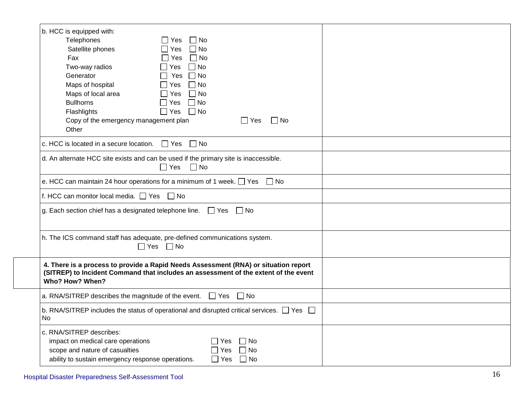| b. HCC is equipped with:<br>Telephones<br>$\Box$ No<br>∣ Yes<br>$\Box$ No<br>Satellite phones<br>$\Box$ Yes<br>Fax<br>$\Box$ No<br>$\Box$ Yes<br>Two-way radios<br>$\Box$ No<br>$\Box$ Yes<br>Generator<br>$\Box$ No<br>$\Box$ Yes<br>Maps of hospital<br>$\Box$ No<br>$\Box$ Yes<br>Maps of local area<br>$\Box$ No<br>$\Box$ Yes<br><b>Bullhorns</b><br>$\Box$ No<br>$\Box$ Yes<br>$\Box$ No<br>Flashlights<br>$\Box$ Yes<br>Copy of the emergency management plan<br>□ No<br>$\Box$ Yes<br>Other |  |
|-----------------------------------------------------------------------------------------------------------------------------------------------------------------------------------------------------------------------------------------------------------------------------------------------------------------------------------------------------------------------------------------------------------------------------------------------------------------------------------------------------|--|
| c. HCC is located in a secure location. $\Box$ Yes $\Box$ No                                                                                                                                                                                                                                                                                                                                                                                                                                        |  |
| d. An alternate HCC site exists and can be used if the primary site is inaccessible.<br>$\Box$ Yes<br>$\Box$ No                                                                                                                                                                                                                                                                                                                                                                                     |  |
| e. HCC can maintain 24 hour operations for a minimum of 1 week. $\Box$ Yes $\Box$ No                                                                                                                                                                                                                                                                                                                                                                                                                |  |
| f. HCC can monitor local media. $\Box$ Yes $\Box$ No                                                                                                                                                                                                                                                                                                                                                                                                                                                |  |
| g. Each section chief has a designated telephone line.<br>$\Box$ Yes $\Box$ No                                                                                                                                                                                                                                                                                                                                                                                                                      |  |
| h. The ICS command staff has adequate, pre-defined communications system.<br>$\Box$ Yes $\Box$ No                                                                                                                                                                                                                                                                                                                                                                                                   |  |
| 4. There is a process to provide a Rapid Needs Assessment (RNA) or situation report<br>(SITREP) to Incident Command that includes an assessment of the extent of the event<br>Who? How? When?                                                                                                                                                                                                                                                                                                       |  |
| a. RNA/SITREP describes the magnitude of the event. $\Box$ Yes $\Box$ No                                                                                                                                                                                                                                                                                                                                                                                                                            |  |
| b. RNA/SITREP includes the status of operational and disrupted critical services. $\Box$ Yes $\Box$<br><b>No</b>                                                                                                                                                                                                                                                                                                                                                                                    |  |
| c. RNA/SITREP describes:<br>impact on medical care operations<br>$\Box$ No<br>∏ Yes<br>scope and nature of casualties<br>$\Box$ No<br>∏ Yes<br>ability to sustain emergency response operations.<br>$\Box$ Yes $\Box$ No                                                                                                                                                                                                                                                                            |  |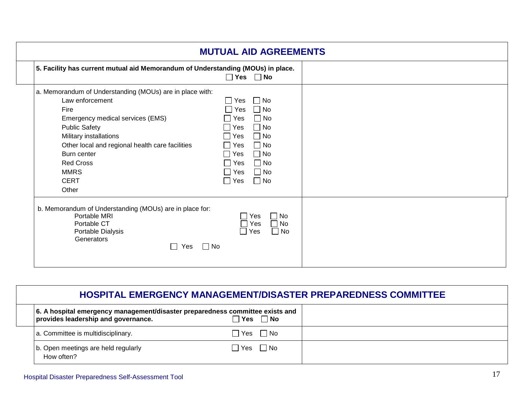| 5. Facility has current mutual aid Memorandum of Understanding (MOUs) in place.                                                               | $\Box$ Yes $\Box$ No                                                                |  |
|-----------------------------------------------------------------------------------------------------------------------------------------------|-------------------------------------------------------------------------------------|--|
| a. Memorandum of Understanding (MOUs) are in place with:                                                                                      |                                                                                     |  |
| Law enforcement                                                                                                                               | $\Box$ No<br>Yes                                                                    |  |
| Fire                                                                                                                                          | $\Box$ No<br>Yes                                                                    |  |
| Emergency medical services (EMS)                                                                                                              | $\Box$ No<br>l Yes                                                                  |  |
| <b>Public Safety</b>                                                                                                                          | $\Box$ No<br>Yes                                                                    |  |
| Military installations                                                                                                                        | $\Box$ No<br>Yes                                                                    |  |
| Other local and regional health care facilities                                                                                               | $\Box$ No<br>$\square$ Yes                                                          |  |
| Burn center                                                                                                                                   | $\Box$ No<br>Yes                                                                    |  |
| <b>Red Cross</b>                                                                                                                              | $\Box$ No<br>Yes                                                                    |  |
| <b>MMRS</b>                                                                                                                                   | $\Box$ No<br>  Yes                                                                  |  |
| <b>CERT</b>                                                                                                                                   | $\Box$ No<br>  Yes                                                                  |  |
| Other                                                                                                                                         |                                                                                     |  |
| b. Memorandum of Understanding (MOUs) are in place for:<br>Portable MRI<br>Portable CT<br>Portable Dialysis<br>Generators<br>$\Box$ No<br>Yes | $\Box$ No<br>Yes<br>$\Box$<br>$\Box$ No<br>Yes<br>$\Box$<br>$\Box$ No<br>$\Box$ Yes |  |

| <b>HOSPITAL EMERGENCY MANAGEMENT/DISASTER PREPAREDNESS COMMITTEE</b>                                                 |                      |                  |  |  |
|----------------------------------------------------------------------------------------------------------------------|----------------------|------------------|--|--|
| 6. A hospital emergency management/disaster preparedness committee exists and<br>provides leadership and governance. |                      | <b>]Yes □ No</b> |  |  |
| a. Committee is multidisciplinary.                                                                                   | $\Box$ Yes $\Box$ No |                  |  |  |
| b. Open meetings are held regularly<br>How often?                                                                    | $\Box$ Yes $\Box$ No |                  |  |  |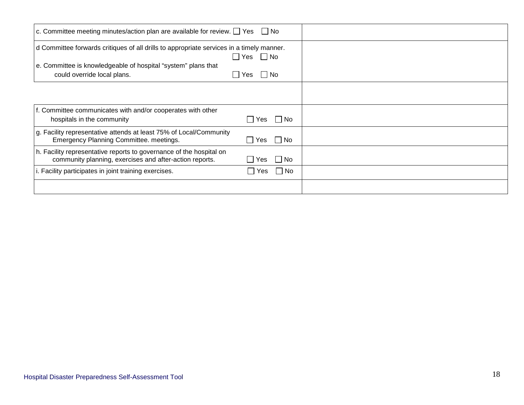| c. Committee meeting minutes/action plan are available for review. $\Box$ Yes $\Box$ No                                                                                                  |                             |  |
|------------------------------------------------------------------------------------------------------------------------------------------------------------------------------------------|-----------------------------|--|
| d Committee forwards critiques of all drills to appropriate services in a timely manner.<br>e. Committee is knowledgeable of hospital "system" plans that<br>could override local plans. | Yes<br>l No<br>l INo<br>Yes |  |
| f. Committee communicates with and/or cooperates with other<br>hospitals in the community                                                                                                | No<br>∣ I Yes               |  |
| g. Facility representative attends at least 75% of Local/Community<br>Emergency Planning Committee. meetings.                                                                            | $\vert$   No<br>Yes         |  |
| h. Facility representative reports to governance of the hospital on<br>community planning, exercises and after-action reports.                                                           | ∣No<br>Yes                  |  |
| i. Facility participates in joint training exercises.                                                                                                                                    | No<br>Yes                   |  |
|                                                                                                                                                                                          |                             |  |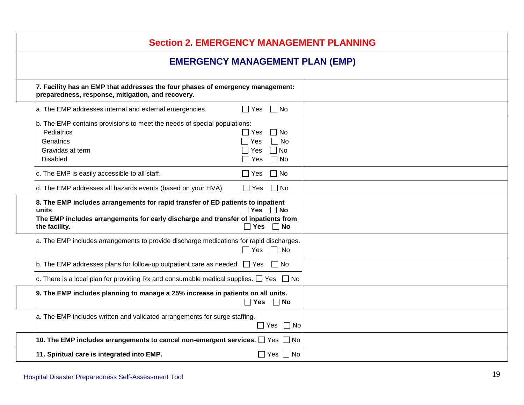| <b>Section 2. EMERGENCY MANAGEMENT PLANNING</b>                                                                                                                                                                                                         |  |  |  |  |
|---------------------------------------------------------------------------------------------------------------------------------------------------------------------------------------------------------------------------------------------------------|--|--|--|--|
| <b>EMERGENCY MANAGEMENT PLAN (EMP)</b>                                                                                                                                                                                                                  |  |  |  |  |
| 7. Facility has an EMP that addresses the four phases of emergency management:<br>preparedness, response, mitigation, and recovery.                                                                                                                     |  |  |  |  |
| $\Box$ Yes $\Box$ No<br>a. The EMP addresses internal and external emergencies.                                                                                                                                                                         |  |  |  |  |
| b. The EMP contains provisions to meet the needs of special populations:<br>Pediatrics<br>$\Box$ No<br>$\Box$ Yes<br>$\Box$ No<br>Geriatrics<br>$\Box$ Yes<br>$\Box$ No<br>$\Box$ Yes<br>Gravidas at term<br>$\Box$ No<br><b>Disabled</b><br>$\Box$ Yes |  |  |  |  |
| $\Box$ No<br>c. The EMP is easily accessible to all staff.<br>$\Box$ Yes                                                                                                                                                                                |  |  |  |  |
| d. The EMP addresses all hazards events (based on your HVA).<br>$\Box$ No<br>$\Box$ Yes                                                                                                                                                                 |  |  |  |  |
| 8. The EMP includes arrangements for rapid transfer of ED patients to inpatient<br>$\Box$ Yes $\Box$ No<br>units<br>The EMP includes arrangements for early discharge and transfer of inpatients from<br>$\Box$ Yes $\Box$ No<br>the facility.          |  |  |  |  |
| a. The EMP includes arrangements to provide discharge medications for rapid discharges.<br>$\Box$ Yes $\Box$ No                                                                                                                                         |  |  |  |  |
| b. The EMP addresses plans for follow-up outpatient care as needed. $\Box$ Yes $\Box$ No                                                                                                                                                                |  |  |  |  |
| c. There is a local plan for providing Rx and consumable medical supplies. $\Box$ Yes $\Box$ No                                                                                                                                                         |  |  |  |  |
| 9. The EMP includes planning to manage a 25% increase in patients on all units.<br>$\Box$ Yes $\Box$ No                                                                                                                                                 |  |  |  |  |
| a. The EMP includes written and validated arrangements for surge staffing.<br>$\Box$ Yes $\Box$ No                                                                                                                                                      |  |  |  |  |
| 10. The EMP includes arrangements to cancel non-emergent services. $\Box$ Yes $\Box$ No                                                                                                                                                                 |  |  |  |  |
| $\Box$ Yes $\Box$ No<br>11. Spiritual care is integrated into EMP.                                                                                                                                                                                      |  |  |  |  |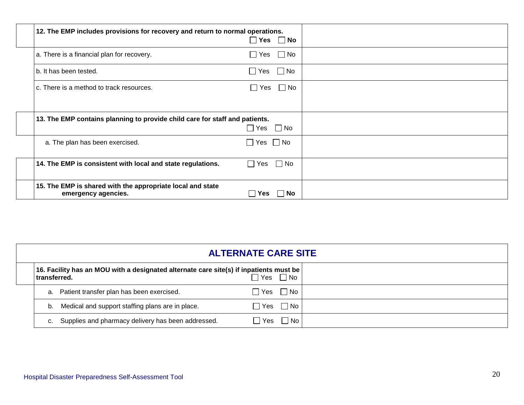| 12. The EMP includes provisions for recovery and return to normal operations.     | $\Box$ Yes $\Box$ No    |  |
|-----------------------------------------------------------------------------------|-------------------------|--|
| a. There is a financial plan for recovery.                                        | $\Box$ Yes $\Box$ No    |  |
| b. It has been tested.                                                            | $\Box$ Yes $\Box$ No    |  |
| c. There is a method to track resources.                                          | $\Box$ No<br>$\Box$ Yes |  |
|                                                                                   |                         |  |
| 13. The EMP contains planning to provide child care for staff and patients.       |                         |  |
|                                                                                   | $\Box$ Yes $\Box$ No    |  |
| a. The plan has been exercised.                                                   | $\Box$ Yes $\Box$ No    |  |
| 14. The EMP is consistent with local and state regulations.                       | $\Box$ Yes $\Box$ No    |  |
| 15. The EMP is shared with the appropriate local and state<br>emergency agencies. | ∣No<br>Yes              |  |

|                                                                                                         | <b>ALTERNATE CARE SITE</b> |  |
|---------------------------------------------------------------------------------------------------------|----------------------------|--|
| 16. Facility has an MOU with a designated alternate care site(s) if inpatients must be<br>∣transferred. | $\Box$ Yes $\Box$ No       |  |
| a. Patient transfer plan has been exercised.                                                            | $\Box$ Yes $\Box$ No       |  |
| b. Medical and support staffing plans are in place.                                                     | $\Box$ Yes $\Box$ No       |  |
| Supplies and pharmacy delivery has been addressed.                                                      | $\Box$ No<br>l Yes         |  |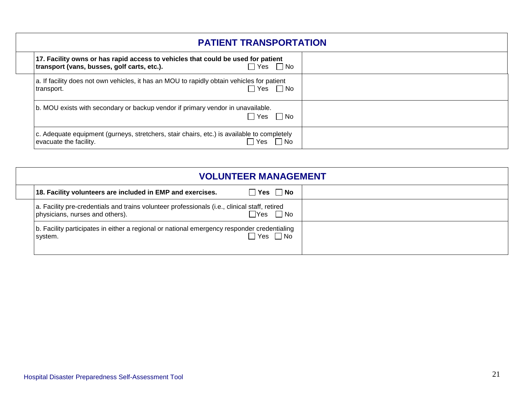| <b>PATIENT TRANSPORTATION</b>                                                                                                               |  |
|---------------------------------------------------------------------------------------------------------------------------------------------|--|
| 17. Facility owns or has rapid access to vehicles that could be used for patient<br>transport (vans, busses, golf carts, etc.).<br>∩Yes ∩No |  |
| a. If facility does not own vehicles, it has an MOU to rapidly obtain vehicles for patient<br>∃Yes ∏No<br>transport.                        |  |
| b. MOU exists with secondary or backup vendor if primary vendor in unavailable.<br>$\Box$ Yes $\Box$ No                                     |  |
| c. Adequate equipment (gurneys, stretchers, stair chairs, etc.) is available to completely<br>evacuate the facility.<br>No.                 |  |

| <b>VOLUNTEER MANAGEMENT</b>                                                                                                                              |  |
|----------------------------------------------------------------------------------------------------------------------------------------------------------|--|
| $\Box$ Yes $\Box$ No<br>18. Facility volunteers are included in EMP and exercises.                                                                       |  |
| a. Facility pre-credentials and trains volunteer professionals (i.e., clinical staff, retired<br>$\Box$ Yes $\Box$ No<br>physicians, nurses and others). |  |
| b. Facility participates in either a regional or national emergency responder credentialing<br>∃Yes ∏No<br>system.                                       |  |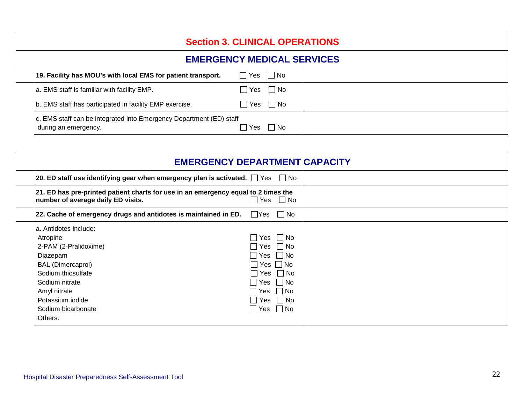| <b>Section 3. CLINICAL OPERATIONS</b>                                                       |                      |                      |  |
|---------------------------------------------------------------------------------------------|----------------------|----------------------|--|
| <b>EMERGENCY MEDICAL SERVICES</b>                                                           |                      |                      |  |
| 19. Facility has MOU's with local EMS for patient transport.                                | $\Box$ Yes $\Box$ No |                      |  |
| a. EMS staff is familiar with facility EMP.                                                 |                      | $\Box$ Yes $\Box$ No |  |
| b. EMS staff has participated in facility EMP exercise.                                     |                      | $\Box$ Yes $\Box$ No |  |
| c. EMS staff can be integrated into Emergency Department (ED) staff<br>during an emergency. | l Yes                | l INo                |  |

| <b>EMERGENCY DEPARTMENT CAPACITY</b>                                                                                                                       |                                                                                                              |  |
|------------------------------------------------------------------------------------------------------------------------------------------------------------|--------------------------------------------------------------------------------------------------------------|--|
| 20. ED staff use identifying gear when emergency plan is activated. $\Box$ Yes $\Box$ No                                                                   |                                                                                                              |  |
| 21. ED has pre-printed patient charts for use in an emergency equal to 2 times the<br>number of average daily ED visits.                                   | $\Box$ Yes $\Box$ No                                                                                         |  |
| 22. Cache of emergency drugs and antidotes is maintained in ED.                                                                                            | l lYes II No                                                                                                 |  |
| a. Antidotes include:<br>Atropine<br>2-PAM (2-Pralidoxime)<br>Diazepam<br><b>BAL (Dimercaprol)</b><br>Sodium thiosulfate<br>Sodium nitrate<br>Amyl nitrate | Yes   No<br>$\Box$ Yes $\Box$ No<br>$\Box$ Yes $\Box$ No<br>$\Box$ Yes $\Box$ No<br>   Yes    No<br>ヿYes ヿNo |  |
| Potassium iodide<br>Sodium bicarbonate<br>Others:                                                                                                          | $\Box$ Yes $\Box$ No<br> Yes   No                                                                            |  |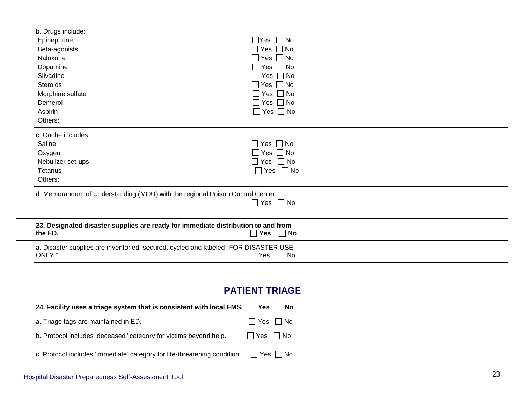| b. Drugs include:                                                                             |                            |  |
|-----------------------------------------------------------------------------------------------|----------------------------|--|
| Epinephrine                                                                                   | $\Box$ Yes $\Box$ No       |  |
| Beta-agonists                                                                                 | $\Box$ Yes $\Box$ No       |  |
| Naloxone                                                                                      | $\Box$ Yes $\Box$ No       |  |
| Dopamine                                                                                      | $\Box$ Yes $\Box$ No       |  |
| Silvadine                                                                                     | $\Box$ Yes $\Box$ No       |  |
| <b>Steroids</b>                                                                               | $\Box$ Yes $\Box$ No       |  |
| Morphine sulfate                                                                              | $\square$ Yes $\square$ No |  |
| Demerol                                                                                       | $\Box$ Yes $\Box$ No       |  |
| Aspirin                                                                                       | $\Box$ Yes $\Box$ No       |  |
| Others:                                                                                       |                            |  |
| c. Cache includes:                                                                            |                            |  |
| Saline                                                                                        | $\Box$ Yes $\Box$ No       |  |
| Oxygen                                                                                        | $\Box$ Yes $\Box$ No       |  |
| Nebulizer set-ups                                                                             | $\Box$ Yes $\Box$ No       |  |
| Tetanus                                                                                       | $\Box$ Yes $\Box$ No       |  |
| Others:                                                                                       |                            |  |
| d. Memorandum of Understanding (MOU) with the regional Poison Control Center.                 | $\Box$ Yes $\Box$ No       |  |
|                                                                                               |                            |  |
| 23. Designated disaster supplies are ready for immediate distribution to and from<br>the ED.  | $\Box$ Yes $\Box$ No       |  |
| a. Disaster supplies are inventoried, secured, cycled and labeled "FOR DISASTER USE<br>ONLY." | $\Box$ Yes $\Box$ No       |  |

|                                                                                           | <b>PATIENT TRIAGE</b>  |  |
|-------------------------------------------------------------------------------------------|------------------------|--|
| 24. Facility uses a triage system that is consistent with local EMS. $\Box$ Yes $\Box$ No |                        |  |
| a. Triage tags are maintained in ED.                                                      | ] Yes □ No             |  |
| b. Protocol includes 'deceased" category for victims beyond help.                         | $\Box$ Yes $\Box$ No   |  |
| c. Protocol includes 'immediate' category for life-threatening condition. [               | $\Box$ Yes $\,\Box$ No |  |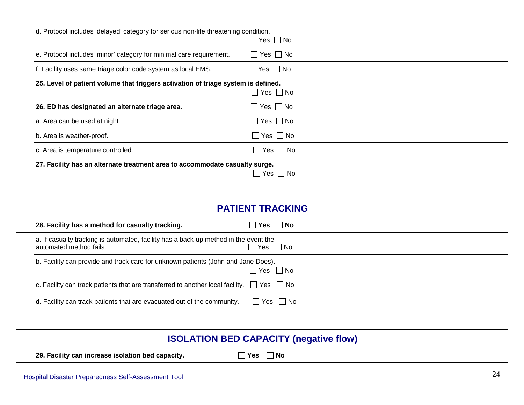| d. Protocol includes 'delayed' category for serious non-life threatening condition. | $\Box$ Yes $\Box$ No           |  |
|-------------------------------------------------------------------------------------|--------------------------------|--|
| e. Protocol includes 'minor' category for minimal care requirement.                 | $\Box$ Yes $\Box$ No           |  |
| f. Facility uses same triage color code system as local EMS.                        | $\Box$ Yes $\Box$ No           |  |
| 25. Level of patient volume that triggers activation of triage system is defined.   | $\Box$ Yes $\Box$ No           |  |
| 26. ED has designated an alternate triage area.                                     | $\Box$ Yes $\Box$ No           |  |
| a. Area can be used at night.                                                       | $\sqsupset$ Yes $\sqsupset$ No |  |
| b. Area is weather-proof.                                                           | $\Box$ Yes $\Box$ No           |  |
| c. Area is temperature controlled.                                                  | $\Box$ Yes $\,\Box$ No         |  |
| 27. Facility has an alternate treatment area to accommodate casualty surge.         | Yes    No                      |  |

|                                                                                                                   | <b>PATIENT TRACKING</b> |  |
|-------------------------------------------------------------------------------------------------------------------|-------------------------|--|
| 28. Facility has a method for casualty tracking.                                                                  | ]Yes □ No               |  |
| a. If casualty tracking is automated, facility has a back-up method in the event the<br>l automated method fails. | $\Box$ Yes $\Box$ No    |  |
| b. Facility can provide and track care for unknown patients (John and Jane Does).                                 | $\Box$ Yes $\Box$ No    |  |
| $ c.$ Facility can track patients that are transferred to another local facility. $\Box$ Yes $\Box$ No            |                         |  |
| d. Facility can track patients that are evacuated out of the community.                                           | $\Box$ Yes $\Box$ No    |  |

|                                                   | <b>ISOLATION BED CAPACITY (negative flow)</b> |  |
|---------------------------------------------------|-----------------------------------------------|--|
| 29. Facility can increase isolation bed capacity. | 'Yes<br>$\Box$ No                             |  |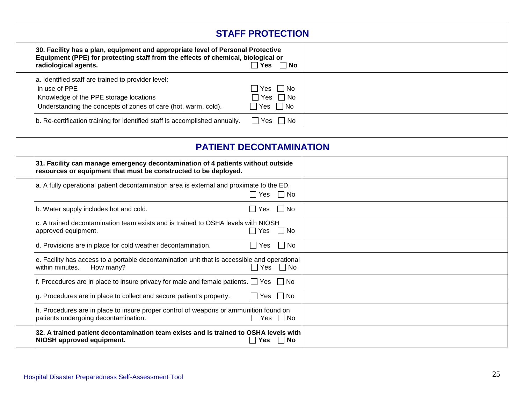|                                                                                                                                                                                             | <b>STAFF PROTECTION</b>                         |
|---------------------------------------------------------------------------------------------------------------------------------------------------------------------------------------------|-------------------------------------------------|
| 30. Facility has a plan, equipment and appropriate level of Personal Protective<br>Equipment (PPE) for protecting staff from the effects of chemical, biological or<br>radiological agents. | ∣ ∣No<br>Yes                                    |
| a. Identified staff are trained to provider level:<br>in use of PPE<br>Knowledge of the PPE storage locations<br>Understanding the concepts of zones of care (hot, warm, cold).             | 7 Yes ∏ No<br>̄Yes 冂 No<br>$\Box$ Yes $\Box$ No |
| b. Re-certification training for identified staff is accomplished annually.                                                                                                                 | $\Box$ Yes $\Box$ No                            |

| <b>PATIENT DECONTAMINATION</b>                                                                                                                     |                      |           |  |
|----------------------------------------------------------------------------------------------------------------------------------------------------|----------------------|-----------|--|
| 31. Facility can manage emergency decontamination of 4 patients without outside<br>resources or equipment that must be constructed to be deployed. |                      |           |  |
| a. A fully operational patient decontamination area is external and proximate to the ED.                                                           | $\Box$ Yes $\Box$ No |           |  |
| b. Water supply includes hot and cold.                                                                                                             | Yes $\Box$ No        |           |  |
| c. A trained decontamination team exists and is trained to OSHA levels with NIOSH<br>approved equipment.                                           | $\Box$ Yes $\Box$ No |           |  |
| d. Provisions are in place for cold weather decontamination.                                                                                       | l Yes                | $\Box$ No |  |
| e. Facility has access to a portable decontamination unit that is accessible and operational<br>within minutes.<br>How many?                       | $\Box$ Yes $\Box$ No |           |  |
| f. Procedures are in place to insure privacy for male and female patients. $\Box$ Yes $\Box$ No                                                    |                      |           |  |
| g. Procedures are in place to collect and secure patient's property.                                                                               | $\Box$ Yes $\Box$ No |           |  |
| h. Procedures are in place to insure proper control of weapons or ammunition found on<br>patients undergoing decontamination.                      | $\Box$ Yes $\Box$ No |           |  |
| 32. A trained patient decontamination team exists and is trained to OSHA levels with<br>NIOSH approved equipment.                                  | <b>Yes</b>           | ∣ ∣No     |  |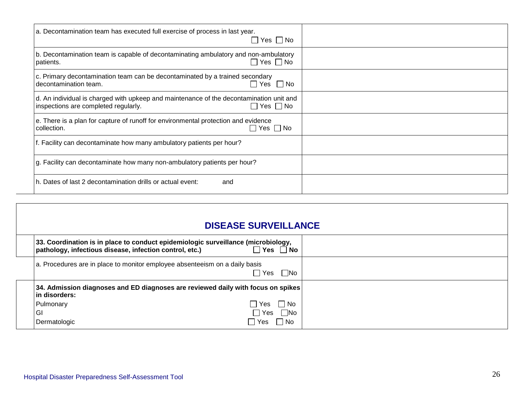| a. Decontamination team has executed full exercise of process in last year.<br>$\Box$ Yes $\Box$ No                                                     |  |
|---------------------------------------------------------------------------------------------------------------------------------------------------------|--|
| b. Decontamination team is capable of decontaminating ambulatory and non-ambulatory<br>$\Box$ Yes $\Box$ No<br>patients.                                |  |
| c. Primary decontamination team can be decontaminated by a trained secondary<br>$\Box$ Yes $\Box$ No<br>decontamination team.                           |  |
| d. An individual is charged with upkeep and maintenance of the decontamination unit and<br>$\Box$ Yes $\Box$ No<br>inspections are completed regularly. |  |
| e. There is a plan for capture of runoff for environmental protection and evidence<br>$\Box$ Yes $\Box$ No<br>collection.                               |  |
| f. Facility can decontaminate how many ambulatory patients per hour?                                                                                    |  |
| g. Facility can decontaminate how many non-ambulatory patients per hour?                                                                                |  |
| h. Dates of last 2 decontamination drills or actual event:<br>and                                                                                       |  |

| <b>DISEASE SURVEILLANCE</b>                                                                                                                                                            |  |  |  |  |
|----------------------------------------------------------------------------------------------------------------------------------------------------------------------------------------|--|--|--|--|
| 33. Coordination is in place to conduct epidemiologic surveillance (microbiology,<br>$\Box$ Yes $\Box$ No<br>pathology, infectious disease, infection control, etc.)                   |  |  |  |  |
| a. Procedures are in place to monitor employee absenteeism on a daily basis<br>l Yes<br>l lNo                                                                                          |  |  |  |  |
| 34. Admission diagnoses and ED diagnoses are reviewed daily with focus on spikes<br>in disorders:<br>⊦ TYes<br>Pulmonary<br>l No<br>GI<br>∣ Yes<br>∣ No<br>Dermatologic<br>Yes<br>l No |  |  |  |  |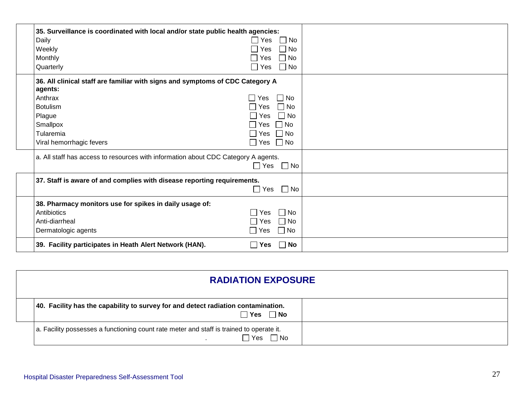| 35. Surveillance is coordinated with local and/or state public health agencies:<br>Daily<br>Weekly<br>Monthly<br>Quarterly                                                            | Yes<br>∐ No<br>No<br>Yes<br>$\n  7$ No<br>Yes<br>∃ No<br>∩ Yes                                                         |  |
|---------------------------------------------------------------------------------------------------------------------------------------------------------------------------------------|------------------------------------------------------------------------------------------------------------------------|--|
| 36. All clinical staff are familiar with signs and symptoms of CDC Category A<br>agents:<br>Anthrax<br><b>Botulism</b><br>Plague<br>Smallpox<br>Tularemia<br>Viral hemorrhagic fevers | ∣ ∣No<br>Yes<br>$\Box$ No<br>l IYes<br>  No<br>Yes<br>$\Box$ No<br>$\Box$ Yes<br>∣ Yes<br>∣ No<br>$\Box$ Yes $\Box$ No |  |
| a. All staff has access to resources with information about CDC Category A agents.                                                                                                    | <b>Nes</b><br>$\Box$ No                                                                                                |  |
| 37. Staff is aware of and complies with disease reporting requirements.                                                                                                               | $\Box$ No<br>$\Box$ Yes                                                                                                |  |
| 38. Pharmacy monitors use for spikes in daily usage of:<br>Antibiotics<br>Anti-diarrheal<br>Dermatologic agents                                                                       | No<br><b>Yes</b><br>$\Box$ No<br><b>Yes</b><br>$\Box$ No<br>l Yes                                                      |  |
| 39. Facility participates in Heath Alert Network (HAN).                                                                                                                               | $\vert$ $\vert$ No<br>∣ ⊺Yes                                                                                           |  |

| <b>RADIATION EXPOSURE</b>                                                                                      |  |  |  |
|----------------------------------------------------------------------------------------------------------------|--|--|--|
| 40. Facility has the capability to survey for and detect radiation contamination.<br>$\Box$ No<br>∣ Yes        |  |  |  |
| a. Facility possesses a functioning count rate meter and staff is trained to operate it.<br>∃ Yes<br>$\Box$ No |  |  |  |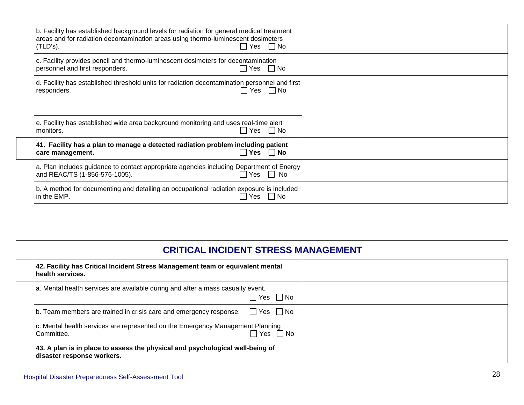| b. Facility has established background levels for radiation for general medical treatment<br>areas and for radiation decontamination areas using thermo-luminescent dosimeters<br>$\Box$ Yes $\Box$ No<br>$(TLD's)$ . |  |
|-----------------------------------------------------------------------------------------------------------------------------------------------------------------------------------------------------------------------|--|
| c. Facility provides pencil and thermo-luminescent dosimeters for decontamination<br>personnel and first responders.<br>□ Yes □ No                                                                                    |  |
| d. Facility has established threshold units for radiation decontamination personnel and first<br>∏Yes ∏No<br>responders.                                                                                              |  |
| e. Facility has established wide area background monitoring and uses real-time alert<br>$\Box$ Yes $\Box$ No<br>monitors.                                                                                             |  |
| 41. Facility has a plan to manage a detected radiation problem including patient<br>$\Box$ Yes $\Box$ No<br>care management.                                                                                          |  |
| a. Plan includes guidance to contact appropriate agencies including Department of Energy<br>and REAC/TS (1-856-576-1005).<br>Yes     No                                                                               |  |
| b. A method for documenting and detailing an occupational radiation exposure is included<br>in the EMP.<br>$\Box$ No<br>Yes                                                                                           |  |

| <b>CRITICAL INCIDENT STRESS MANAGEMENT</b>                                                                  |  |  |  |  |
|-------------------------------------------------------------------------------------------------------------|--|--|--|--|
| 42. Facility has Critical Incident Stress Management team or equivalent mental<br>health services.          |  |  |  |  |
| a. Mental health services are available during and after a mass casualty event.<br>∩ Yes ∩No                |  |  |  |  |
| $\Box$ Yes $\Box$ No<br>b. Team members are trained in crisis care and emergency response.                  |  |  |  |  |
| c. Mental health services are represented on the Emergency Management Planning<br>⊡Yes ∩No<br>Committee.    |  |  |  |  |
| 43. A plan is in place to assess the physical and psychological well-being of<br>disaster response workers. |  |  |  |  |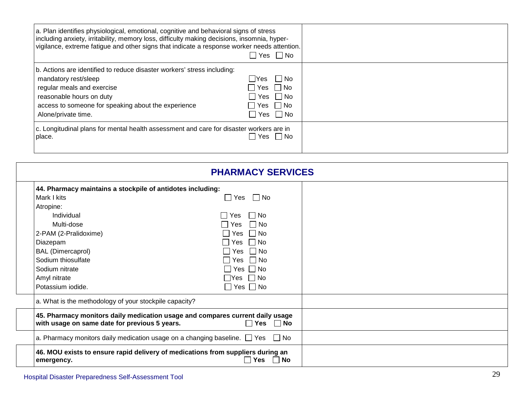| a. Plan identifies physiological, emotional, cognitive and behavioral signs of stress<br>including anxiety, irritability, memory loss, difficulty making decisions, insomnia, hyper-<br>vigilance, extreme fatigue and other signs that indicate a response worker needs attention. | □ Yes □ No                                                                         |
|-------------------------------------------------------------------------------------------------------------------------------------------------------------------------------------------------------------------------------------------------------------------------------------|------------------------------------------------------------------------------------|
| b. Actions are identified to reduce disaster workers' stress including:<br>mandatory rest/sleep<br>regular meals and exercise<br>reasonable hours on duty<br>access to someone for speaking about the experience<br>Alone/private time.                                             | l lYes<br>l INo<br>  Yes   No<br>Yes IINo<br>$Yes \Box No$<br>$\Box$ Yes $\Box$ No |
| c. Longitudinal plans for mental health assessment and care for disaster workers are in<br>place.                                                                                                                                                                                   | $\Box$ Yes $\Box$ No                                                               |

| <b>PHARMACY SERVICES</b>                                                                                                       |                      |                      |  |
|--------------------------------------------------------------------------------------------------------------------------------|----------------------|----------------------|--|
| 44. Pharmacy maintains a stockpile of antidotes including:                                                                     |                      |                      |  |
| Mark I kits                                                                                                                    | $\Box$ Yes           | l INo                |  |
| Atropine:                                                                                                                      |                      |                      |  |
| Individual                                                                                                                     | l IYesi              | $\Box$ No            |  |
| Multi-dose                                                                                                                     | l I Yes              | □ No                 |  |
| 2-PAM (2-Pralidoxime)                                                                                                          | $\sim$               | Yes $\Box$ No        |  |
| Diazepam                                                                                                                       | $\Box$ Yes $\Box$ No |                      |  |
| <b>BAL</b> (Dimercaprol)                                                                                                       |                      | $\Box$ Yes $\Box$ No |  |
| Sodium thiosulfate                                                                                                             |                      | $\Box$ Yes $\Box$ No |  |
| Sodium nitrate                                                                                                                 | $\Box$ Yes $\Box$ No |                      |  |
| Amyl nitrate                                                                                                                   | $\Box$ Yes $\Box$ No |                      |  |
| Potassium iodide.                                                                                                              | $\Box$ Yes $\Box$ No |                      |  |
| a. What is the methodology of your stockpile capacity?                                                                         |                      |                      |  |
| 45. Pharmacy monitors daily medication usage and compares current daily usage<br>with usage on same date for previous 5 years. |                      | $\Box$ Yes $\Box$ No |  |
| a. Pharmacy monitors daily medication usage on a changing baseline. $\Box$ Yes $\Box$ No                                       |                      |                      |  |
| 46. MOU exists to ensure rapid delivery of medications from suppliers during an<br>emergency.                                  |                      | $\Box$ No<br>l Yes   |  |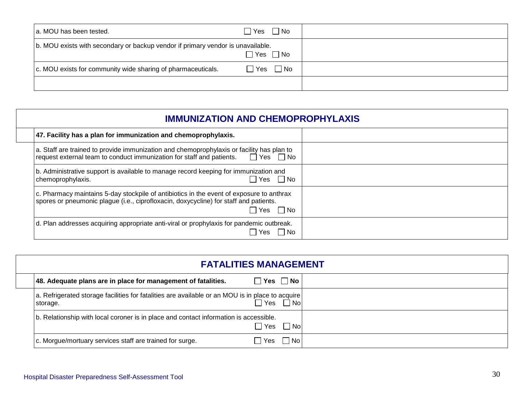| a. MOU has been tested.                                                         | □ Yes<br>$\Box$ No                       |  |
|---------------------------------------------------------------------------------|------------------------------------------|--|
| b. MOU exists with secondary or backup vendor if primary vendor is unavailable. | $\Box$ Yes $\Box$ No                     |  |
| c. MOU exists for community wide sharing of pharmaceuticals.                    | $\Box$ No<br>$\sqsupset$ Yes $\sqsupset$ |  |
|                                                                                 |                                          |  |

| <b>IMMUNIZATION AND CHEMOPROPHYLAXIS</b>                                                                                                                                                                  |  |  |  |  |
|-----------------------------------------------------------------------------------------------------------------------------------------------------------------------------------------------------------|--|--|--|--|
| 47. Facility has a plan for immunization and chemoprophylaxis.                                                                                                                                            |  |  |  |  |
| a. Staff are trained to provide immunization and chemoprophylaxis or facility has plan to<br>$\Box$ Yes $\Box$ No<br>request external team to conduct immunization for staff and patients.                |  |  |  |  |
| b. Administrative support is available to manage record keeping for immunization and<br>$\Box$ Yes $\Box$ No<br>chemoprophylaxis.                                                                         |  |  |  |  |
| c. Pharmacy maintains 5-day stockpile of antibiotics in the event of exposure to anthrax<br>spores or pneumonic plague (i.e., ciprofloxacin, doxycycline) for staff and patients.<br>$\Box$ Yes $\Box$ No |  |  |  |  |
| d. Plan addresses acquiring appropriate anti-viral or prophylaxis for pandemic outbreak.<br>$\Box$ No<br>Yes                                                                                              |  |  |  |  |

| <b>FATALITIES MANAGEMENT</b>                                                                                                   |  |  |  |
|--------------------------------------------------------------------------------------------------------------------------------|--|--|--|
| $\Box$ Yes $\Box$ No<br>48. Adequate plans are in place for management of fatalities.                                          |  |  |  |
| a. Refrigerated storage facilities for fatalities are available or an MOU is in place to acquire<br>l Yes<br>  Nol<br>storage. |  |  |  |
| b. Relationship with local coroner is in place and contact information is accessible.<br>$\Box$ Yes<br>  Nol                   |  |  |  |
| No.<br>c. Morgue/mortuary services staff are trained for surge.<br>Yes                                                         |  |  |  |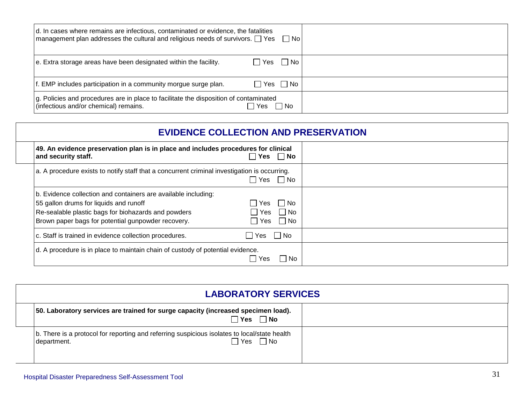| d. In cases where remains are infectious, contaminated or evidence, the fatalities<br>$\mid$ management plan addresses the cultural and religious needs of survivors. $\Box$ Yes $\Box$ No |                      |  |
|--------------------------------------------------------------------------------------------------------------------------------------------------------------------------------------------|----------------------|--|
| e. Extra storage areas have been designated within the facility.                                                                                                                           | $\Box$ Yes $\Box$ No |  |
| If. EMP includes participation in a community morgue surge plan.                                                                                                                           | $\Box$ Yes $\Box$ No |  |
| g. Policies and procedures are in place to facilitate the disposition of contaminated<br>(infectious and/or chemical) remains.                                                             | l No<br>Yes          |  |

| <b>EVIDENCE COLLECTION AND PRESERVATION</b>                                                                                                                                                                           |                |                                    |  |
|-----------------------------------------------------------------------------------------------------------------------------------------------------------------------------------------------------------------------|----------------|------------------------------------|--|
| 49. An evidence preservation plan is in place and includes procedures for clinical<br>and security staff.                                                                                                             |                | Yes $\Box$ No                      |  |
| a. A procedure exists to notify staff that a concurrent criminal investigation is occurring.                                                                                                                          |                | ∏ Yes ∏ No                         |  |
| b. Evidence collection and containers are available including:<br>55 gallon drums for liquids and runoff<br>Re-sealable plastic bags for biohazards and powders<br>Brown paper bags for potential gunpowder recovery. | Yes<br>l Yes I | Yes $\Box$ No<br>  No<br>$\Box$ No |  |
| c. Staff is trained in evidence collection procedures.                                                                                                                                                                | ∣ Yes          | ∣ ∣No                              |  |
| d. A procedure is in place to maintain chain of custody of potential evidence.                                                                                                                                        |                |                                    |  |

| <b>LABORATORY SERVICES</b>                                                                                              |  |
|-------------------------------------------------------------------------------------------------------------------------|--|
| 50. Laboratory services are trained for surge capacity (increased specimen load).<br>$\sqcap$ Yes<br>$\Box$ No          |  |
| b. There is a protocol for reporting and referring suspicious isolates to local/state health<br>∩Yes ∩No<br>department. |  |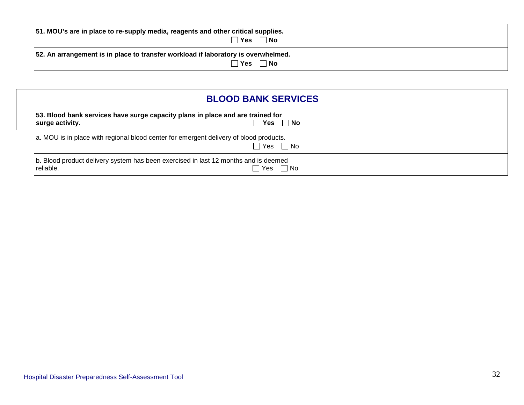| 51. MOU's are in place to re-supply media, reagents and other critical supplies.<br>∃ Yes<br>$\Box$ No  |  |
|---------------------------------------------------------------------------------------------------------|--|
| 52. An arrangement is in place to transfer workload if laboratory is overwhelmed.<br>$\Box$ No<br>∏ Yes |  |

| <b>BLOOD BANK SERVICES</b>                                                                                              |
|-------------------------------------------------------------------------------------------------------------------------|
| 53. Blood bank services have surge capacity plans in place and are trained for<br>∣ Yes<br>$\Box$ No<br>surge activity. |
| a. MOU is in place with regional blood center for emergent delivery of blood products.<br>$\Box$ Yes $\Box$ No          |
| b. Blood product delivery system has been exercised in last 12 months and is deemed<br>reliable.<br>Yes<br>l No         |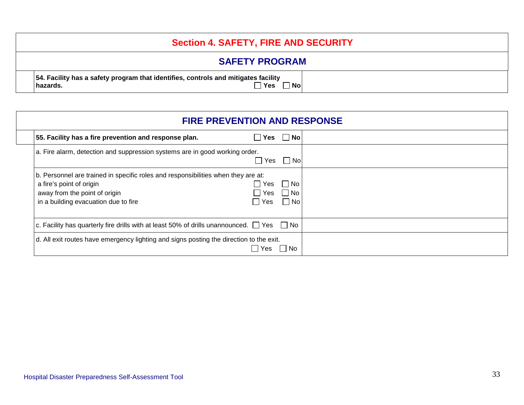| <b>Section 4. SAFETY, FIRE AND SECURITY</b>                                                                                            |
|----------------------------------------------------------------------------------------------------------------------------------------|
| <b>SAFETY PROGRAM</b>                                                                                                                  |
| 54. Facility has a safety program that identifies, controls and mitigates facility<br>$\sqsupset$ Yes<br><sup>1</sup> No∣<br>∣hazards. |

| <b>FIRE PREVENTION AND RESPONSE</b>                                                                                                                                                    |                            |                            |  |
|----------------------------------------------------------------------------------------------------------------------------------------------------------------------------------------|----------------------------|----------------------------|--|
| 55. Facility has a fire prevention and response plan.                                                                                                                                  | Yes<br>$\blacksquare$      | $\Box$ No                  |  |
| a. Fire alarm, detection and suppression systems are in good working order.                                                                                                            | Yes                        | │ No                       |  |
| b. Personnel are trained in specific roles and responsibilities when they are at:<br>a fire's point of origin<br>away from the point of origin<br>in a building evacuation due to fire | Yes<br><b>Yes</b><br>│ Yes | l Nol<br>l No<br>$\Box$ No |  |
| c. Facility has quarterly fire drills with at least 50% of drills unannounced. $\Box$ Yes $\Box$ No                                                                                    |                            |                            |  |
| d. All exit routes have emergency lighting and signs posting the direction to the exit.                                                                                                | Yes.                       | l No                       |  |

Г

┑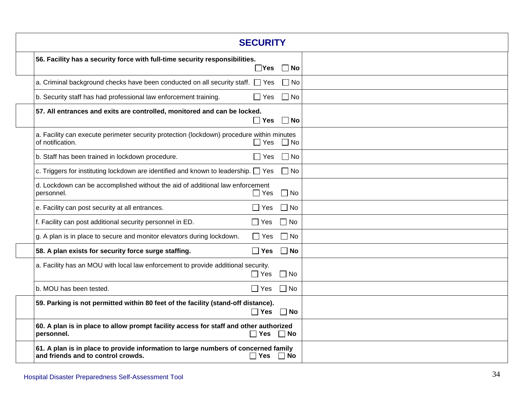|                                                                                                                          | <b>SECURITY</b>      |           |  |
|--------------------------------------------------------------------------------------------------------------------------|----------------------|-----------|--|
| 56. Facility has a security force with full-time security responsibilities.                                              | $\Box$ Yes           | $\Box$ No |  |
| a. Criminal background checks have been conducted on all security staff. $\Box$ Yes                                      |                      | $\Box$ No |  |
| b. Security staff has had professional law enforcement training.                                                         | $\Box$ Yes           | $\Box$ No |  |
| 57. All entrances and exits are controlled, monitored and can be locked.                                                 | $\Box$ Yes           | $\Box$ No |  |
| a. Facility can execute perimeter security protection (lockdown) procedure within minutes<br>of notification.            | $\Box$ Yes           | $\Box$ No |  |
| b. Staff has been trained in lockdown procedure.                                                                         | $\Box$ Yes           | $\Box$ No |  |
| c. Triggers for instituting lockdown are identified and known to leadership. $\Box$ Yes                                  |                      | $\Box$ No |  |
| d. Lockdown can be accomplished without the aid of additional law enforcement<br>personnel.                              | $\Box$ Yes           | $\Box$ No |  |
| e. Facility can post security at all entrances.                                                                          | $\Box$ Yes           | $\Box$ No |  |
| f. Facility can post additional security personnel in ED.                                                                | $\Box$ Yes           | $\Box$ No |  |
| g. A plan is in place to secure and monitor elevators during lockdown.                                                   | $\Box$ Yes           | $\Box$ No |  |
| 58. A plan exists for security force surge staffing.                                                                     | $\Box$ Yes           | $\Box$ No |  |
| a. Facility has an MOU with local law enforcement to provide additional security.                                        | $\Box$ Yes           | $\Box$ No |  |
| b. MOU has been tested.                                                                                                  | $\Box$ Yes           | $\Box$ No |  |
| 59. Parking is not permitted within 80 feet of the facility (stand-off distance).                                        | $\square$ Yes        | $\Box$ No |  |
| 60. A plan is in place to allow prompt facility access for staff and other authorized<br>personnel.                      | $\Box$ Yes           | l INo     |  |
| 61. A plan is in place to provide information to large numbers of concerned family<br>and friends and to control crowds. | $\Box$ Yes $\Box$ No |           |  |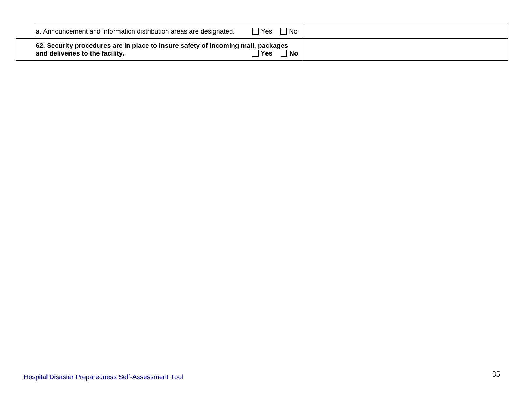| a. Announcement and information distribution areas are designated.                                                  | $\Box$ No<br>□ Yes |  |
|---------------------------------------------------------------------------------------------------------------------|--------------------|--|
| 62. Security procedures are in place to insure safety of incoming mail, packages<br>and deliveries to the facility. | $\neg$ Yes<br>∃ No |  |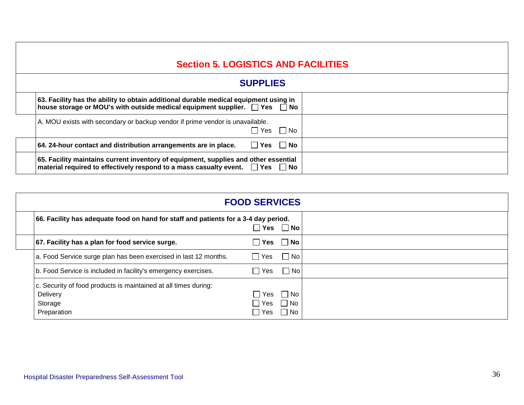## **Section 5. LOGISTICS AND FACILITIES**

| <b>SUPPLIES</b>                                                                                                                                                                |  |
|--------------------------------------------------------------------------------------------------------------------------------------------------------------------------------|--|
| 63. Facility has the ability to obtain additional durable medical equipment using in<br>house storage or MOU's with outside medical equipment supplier. $\Box$ Yes $\Box$ No   |  |
| A. MOU exists with secondary or backup vendor if prime vendor is unavailable.<br>  No<br>l IYes                                                                                |  |
| $\Box$ Yes $\Box$ No<br>64. 24-hour contact and distribution arrangements are in place.                                                                                        |  |
| 65. Facility maintains current inventory of equipment, supplies and other essential<br>material required to effectively respond to a mass casualty event. $\Box$ Yes $\Box$ No |  |

|                                                                                                       | <b>FOOD SERVICES</b>  |                           |  |
|-------------------------------------------------------------------------------------------------------|-----------------------|---------------------------|--|
| 66. Facility has adequate food on hand for staff and patients for a 3-4 day period.                   | Yes                   | $\Box$ No                 |  |
| 67. Facility has a plan for food service surge.                                                       | Yes<br>$\blacksquare$ | $\Box$ No                 |  |
| a. Food Service surge plan has been exercised in last 12 months.                                      | $\Box$ Yes            | $\Box$ No                 |  |
| b. Food Service is included in facility's emergency exercises.                                        | Yes<br>$\perp$        | $\Box$ No                 |  |
| c. Security of food products is maintained at all times during:<br>Delivery<br>Storage<br>Preparation | Yes<br>Yes<br>Yes     | $\Box$ No<br>  No<br>l No |  |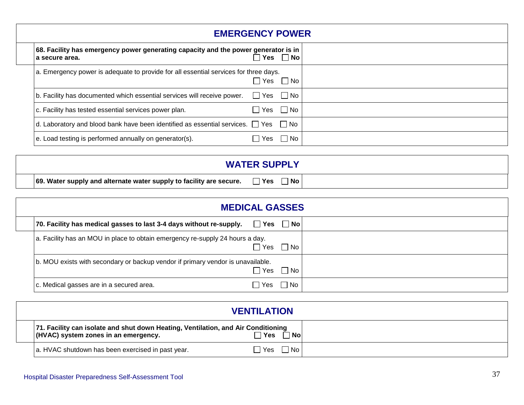| <b>EMERGENCY POWER</b>                                                                               |                      |                      |
|------------------------------------------------------------------------------------------------------|----------------------|----------------------|
| 68. Facility has emergency power generating capacity and the power generator is in<br>a secure area. |                      | $\Box$ Yes $\Box$ No |
| a. Emergency power is adequate to provide for all essential services for three days.                 |                      | $\Box$ Yes $\Box$ No |
| b. Facility has documented which essential services will receive power.                              | $\Box$ Yes $\Box$ No |                      |
| c. Facility has tested essential services power plan.                                                | i ∃ Yes              | $\Box$ No            |
| d. Laboratory and blood bank have been identified as essential services. $\Box$ Yes $\Box$ No        |                      |                      |
| e. Load testing is performed annually on generator(s).                                               | <b>Yes</b>           | l No                 |

|                                                                     | <b>WATER SUPPLY</b> |  |
|---------------------------------------------------------------------|---------------------|--|
| 69. Water supply and alternate water supply to facility are secure. | ∃ No<br>'Yes        |  |

| <b>MEDICAL GASSES</b>                                                           |                      |           |  |
|---------------------------------------------------------------------------------|----------------------|-----------|--|
| 70. Facility has medical gasses to last 3-4 days without re-supply.             | $\Box$ Yes $\Box$ No |           |  |
| a. Facility has an MOU in place to obtain emergency re-supply 24 hours a day.   | $\Box$ Yes           | $\Box$ No |  |
| b. MOU exists with secondary or backup vendor if primary vendor is unavailable. | $\Box$ Yes           | $\Box$ No |  |
| c. Medical gasses are in a secured area.                                        | Yes                  | ⊺ No      |  |

|                                                                                                                           | <b>VENTILATION</b> |  |
|---------------------------------------------------------------------------------------------------------------------------|--------------------|--|
| 71. Facility can isolate and shut down Heating, Ventilation, and Air Conditioning<br>(HVAC) system zones in an emergency. | ັ⊺No∣<br>`Yes      |  |
| a. HVAC shutdown has been exercised in past year.                                                                         | $\Box$ Yes<br>  No |  |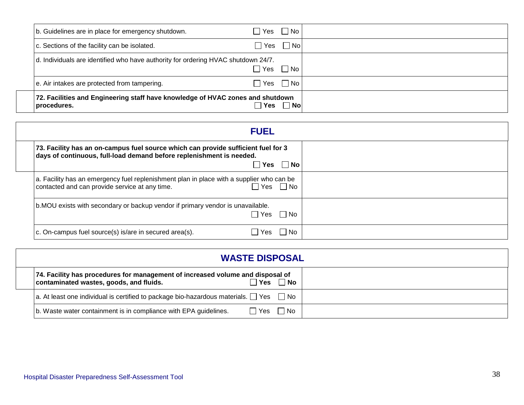| 72. Facilities and Engineering staff have knowledge of HVAC zones and shutdown<br>procedures. | ∃ Yes                | No |  |
|-----------------------------------------------------------------------------------------------|----------------------|----|--|
| e. Air intakes are protected from tampering.                                                  | $\Box$ Yes $\Box$ No |    |  |
| d. Individuals are identified who have authority for ordering HVAC shutdown 24/7.             | ]Yes □No             |    |  |
| c. Sections of the facility can be isolated.                                                  | ]Yes 冂 No            |    |  |
| b. Guidelines are in place for emergency shutdown.                                            | $Yes \cap No$        |    |  |

| <b>FUEL</b>                                                                                                                                                        |  |  |  |  |
|--------------------------------------------------------------------------------------------------------------------------------------------------------------------|--|--|--|--|
| 73. Facility has an on-campus fuel source which can provide sufficient fuel for 3<br>days of continuous, full-load demand before replenishment is needed.          |  |  |  |  |
| $Yes \tN$ o                                                                                                                                                        |  |  |  |  |
| a. Facility has an emergency fuel replenishment plan in place with a supplier who can be<br>contacted and can provide service at any time.<br>$\Box$ Yes $\Box$ No |  |  |  |  |
| b.MOU exists with secondary or backup vendor if primary vendor is unavailable.<br>l IYes<br>l I No                                                                 |  |  |  |  |
| c. On-campus fuel source(s) is/are in secured area(s).<br>  No<br>Yes                                                                                              |  |  |  |  |

| <b>WASTE DISPOSAL</b>                                                                                                     |       |       |  |  |
|---------------------------------------------------------------------------------------------------------------------------|-------|-------|--|--|
| 74. Facility has procedures for management of increased volume and disposal of<br>contaminated wastes, goods, and fluids. | ∣ Yes | l No  |  |  |
| $ a.$ At least one individual is certified to package bio-hazardous materials. $\Box$ Yes $\Box$ No                       |       |       |  |  |
| b. Waste water containment is in compliance with EPA guidelines.                                                          | l Yes | l INo |  |  |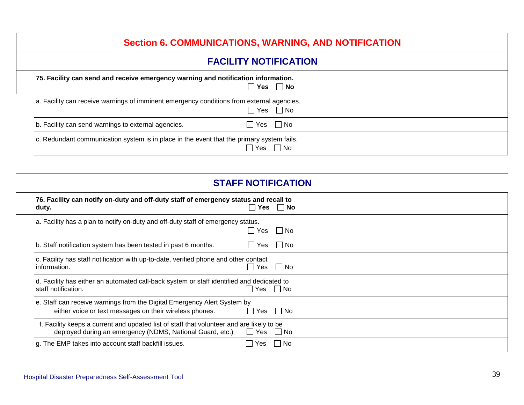## **Section 6. COMMUNICATIONS, WARNING, AND NOTIFICATION**

#### **FACILITY NOTIFICATION**

| 75. Facility can send and receive emergency warning and notification information.<br>$\sqcap$ Yes<br>$\Box$ No            |  |
|---------------------------------------------------------------------------------------------------------------------------|--|
| a. Facility can receive warnings of imminent emergency conditions from external agencies.<br>$\sqsupset$ Yes<br>$\Box$ No |  |
| $\Box$ Yes $\Box$ No<br>b. Facility can send warnings to external agencies.                                               |  |
| c. Redundant communication system is in place in the event that the primary system fails.<br>Yes<br>$\Box$ No             |  |

| <b>STAFF NOTIFICATION</b>                                                                                                                              |                                 |  |
|--------------------------------------------------------------------------------------------------------------------------------------------------------|---------------------------------|--|
| 76. Facility can notify on-duty and off-duty staff of emergency status and recall to<br>duty.                                                          | Yes $\Box$ No<br>$\blacksquare$ |  |
| a. Facility has a plan to notify on-duty and off-duty staff of emergency status.                                                                       | $\Box$ Yes $\Box$ No            |  |
| b. Staff notification system has been tested in past 6 months.                                                                                         | l IYes<br>l INo                 |  |
| c. Facility has staff notification with up-to-date, verified phone and other contact<br>information.                                                   | $\Box$ Yes<br>$\Box$ No         |  |
| d. Facility has either an automated call-back system or staff identified and dedicated to<br>staff notification.                                       | √ Yes<br>∣ No                   |  |
| e. Staff can receive warnings from the Digital Emergency Alert System by<br>either voice or text messages on their wireless phones.                    | │ No<br>l IYes                  |  |
| f. Facility keeps a current and updated list of staff that volunteer and are likely to be<br>deployed during an emergency (NDMS, National Guard, etc.) | $\Box$ Yes<br>$\Box$ No         |  |
| g. The EMP takes into account staff backfill issues.                                                                                                   | l No<br>Yes                     |  |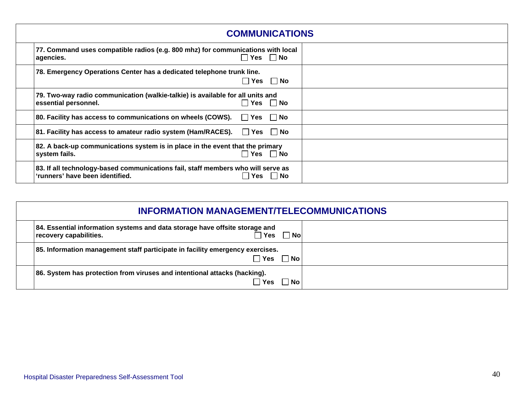| <b>COMMUNICATIONS</b>                                                                                                               |  |  |  |  |
|-------------------------------------------------------------------------------------------------------------------------------------|--|--|--|--|
| 77. Command uses compatible radios (e.g. 800 mhz) for communications with local<br>$\Box$ Yes $\Box$ No<br>agencies.                |  |  |  |  |
| 78. Emergency Operations Center has a dedicated telephone trunk line.<br>$\Box$ Yes $\Box$ No                                       |  |  |  |  |
| 79. Two-way radio communication (walkie-talkie) is available for all units and<br>$\Box$ Yes $\Box$ No<br>essential personnel.      |  |  |  |  |
| 80. Facility has access to communications on wheels (COWS). $\Box$ Yes $\Box$ No                                                    |  |  |  |  |
| 81. Facility has access to amateur radio system (Ham/RACES). $\Box$ Yes $\Box$ No                                                   |  |  |  |  |
| 82. A back-up communications system is in place in the event that the primary<br>$\Box$ Yes $\Box$ No<br>system fails.              |  |  |  |  |
| 83. If all technology-based communications fail, staff members who will serve as<br>'runners' have been identified.<br>Yes<br>∣ ∣No |  |  |  |  |

| <b>INFORMATION MANAGEMENT/TELECOMMUNICATIONS</b>                                                                            |  |  |  |  |
|-----------------------------------------------------------------------------------------------------------------------------|--|--|--|--|
| 84. Essential information systems and data storage have offsite storage and<br>∃ Yes<br><b>No</b><br>recovery capabilities. |  |  |  |  |
| 85. Information management staff participate in facility emergency exercises.<br>  Yes □ No                                 |  |  |  |  |
| 86. System has protection from viruses and intentional attacks (hacking).<br><b>No</b><br><b>Yes</b>                        |  |  |  |  |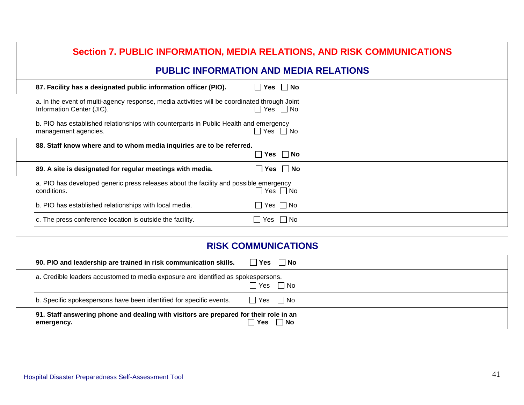| <b>Section 7. PUBLIC INFORMATION, MEDIA RELATIONS, AND RISK COMMUNICATIONS</b>                                            |                      |               |  |  |  |  |
|---------------------------------------------------------------------------------------------------------------------------|----------------------|---------------|--|--|--|--|
| <b>PUBLIC INFORMATION AND MEDIA RELATIONS</b>                                                                             |                      |               |  |  |  |  |
| 87. Facility has a designated public information officer (PIO).                                                           | $\Box$ Yes $\Box$ No |               |  |  |  |  |
| a. In the event of multi-agency response, media activities will be coordinated through Joint<br>Information Center (JIC). | $\Box$ Yes $\Box$ No |               |  |  |  |  |
| b. PIO has established relationships with counterparts in Public Health and emergency<br>management agencies.             | $\Box$ Yes $\Box$ No |               |  |  |  |  |
| 88. Staff know where and to whom media inquiries are to be referred.                                                      |                      | Yes $\Box$ No |  |  |  |  |
| 89. A site is designated for regular meetings with media.                                                                 | l lYes l             | $\Box$ No     |  |  |  |  |
| a. PIO has developed generic press releases about the facility and possible emergency<br>conditions.                      | $\Box$ Yes $\Box$ No |               |  |  |  |  |
| b. PIO has established relationships with local media.                                                                    | $\Box$ Yes $\Box$ No |               |  |  |  |  |
| c. The press conference location is outside the facility.                                                                 | $\Box$ Yes $\Box$ No |               |  |  |  |  |

| <b>RISK COMMUNICATIONS</b>                                                                          |            |                      |  |  |
|-----------------------------------------------------------------------------------------------------|------------|----------------------|--|--|
| 90. PIO and leadership are trained in risk communication skills.                                    |            | $\Box$ Yes $\Box$ No |  |  |
| a. Credible leaders accustomed to media exposure are identified as spokespersons.                   |            | Yes □ No             |  |  |
| b. Specific spokespersons have been identified for specific events.                                 |            | $\Box$ Yes $\Box$ No |  |  |
| 91. Staff answering phone and dealing with visitors are prepared for their role in an<br>emergency. | <b>Yes</b> | ∣No                  |  |  |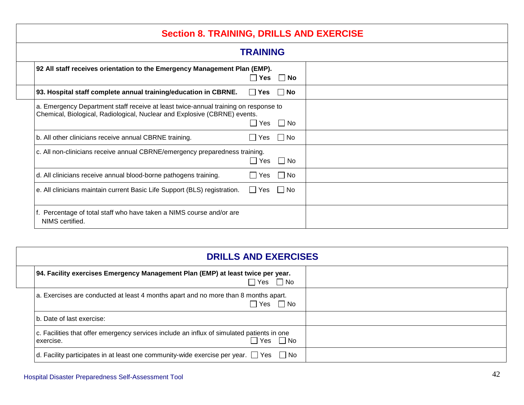## **Section 8. TRAINING, DRILLS AND EXERCISE**

| <b>TRAINING</b>                                                                                                                                                  |                      |           |  |  |
|------------------------------------------------------------------------------------------------------------------------------------------------------------------|----------------------|-----------|--|--|
| 92 All staff receives orientation to the Emergency Management Plan (EMP).                                                                                        | $\Box$ Yes $\Box$ No |           |  |  |
| 93. Hospital staff complete annual training/education in CBRNE.                                                                                                  | Yes<br>$\perp$       | ∣ ∣No     |  |  |
| a. Emergency Department staff receive at least twice-annual training on response to<br>Chemical, Biological, Radiological, Nuclear and Explosive (CBRNE) events. | $\Box$ Yes $\Box$ No |           |  |  |
| b. All other clinicians receive annual CBRNE training.                                                                                                           | $\Box$ Yes $\Box$ No |           |  |  |
| c. All non-clinicians receive annual CBRNE/emergency preparedness training.                                                                                      | $\Box$ Yes $\Box$ No |           |  |  |
| d. All clinicians receive annual blood-borne pathogens training.                                                                                                 | Yes<br>$\Box$        | $\Box$ No |  |  |
| e. All clinicians maintain current Basic Life Support (BLS) registration.                                                                                        | $\Box$ Yes           | $\Box$ No |  |  |
| f. Percentage of total staff who have taken a NIMS course and/or are<br>NIMS certified.                                                                          |                      |           |  |  |

| <b>DRILLS AND EXERCISES</b>                                                                                                     |  |  |  |  |
|---------------------------------------------------------------------------------------------------------------------------------|--|--|--|--|
| 94. Facility exercises Emergency Management Plan (EMP) at least twice per year.<br>7 Yes ∑No                                    |  |  |  |  |
| a. Exercises are conducted at least 4 months apart and no more than 8 months apart.<br>ヿYes ヿNo                                 |  |  |  |  |
| b. Date of last exercise:                                                                                                       |  |  |  |  |
| c. Facilities that offer emergency services include an influx of simulated patients in one<br>$\Box$ Yes $\Box$ No<br>exercise. |  |  |  |  |
| d. Facility participates in at least one community-wide exercise per year. $\Box$ Yes $\Box$ No                                 |  |  |  |  |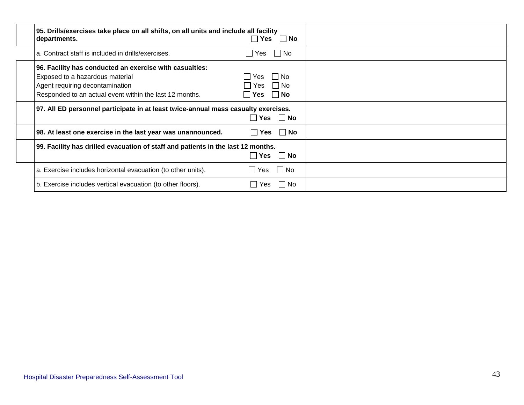| 95. Drills/exercises take place on all shifts, on all units and include all facility<br>departments.                                                                                     | $\Box$ Yes $\Box$ No                                  |  |
|------------------------------------------------------------------------------------------------------------------------------------------------------------------------------------------|-------------------------------------------------------|--|
| a. Contract staff is included in drills/exercises.                                                                                                                                       | ∐ Yes       ∏  No                                     |  |
| 96. Facility has conducted an exercise with casualties:<br>Exposed to a hazardous material<br>Agent requiring decontamination<br>Responded to an actual event within the last 12 months. | l INo<br>l Yes<br>l I No<br>l Yes<br>l I No<br>l lYes |  |
| 97. All ED personnel participate in at least twice-annual mass casualty exercises.                                                                                                       | Yes IINo                                              |  |
| 98. At least one exercise in the last year was unannounced.                                                                                                                              | l INo<br>∣ Yes                                        |  |
| 99. Facility has drilled evacuation of staff and patients in the last 12 months.<br>$ Y$ es<br>l INo                                                                                     |                                                       |  |
| a. Exercise includes horizontal evacuation (to other units).                                                                                                                             | l INo<br>l IYes l                                     |  |
| b. Exercise includes vertical evacuation (to other floors).                                                                                                                              | – I No<br>Yes                                         |  |